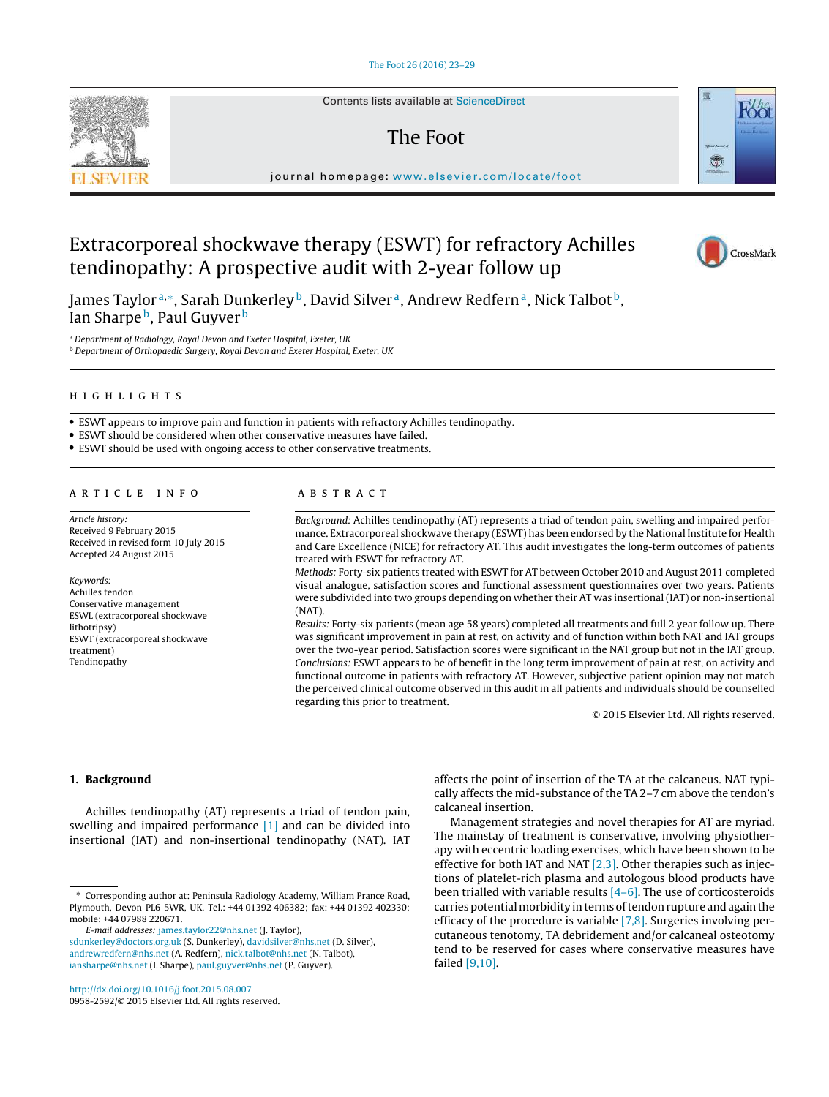Contents lists available at [ScienceDirect](http://www.sciencedirect.com/science/journal/09582592)

# The Foot

journal homepage: [www.elsevier.com/locate/foot](http://www.elsevier.com/locate/foot)

# Extracorporeal shockwave therapy (ESWT) for refractory Achilles tendinopathy: A prospective audit with 2-year follow up

James Taylorª,\*, Sarah Dunkerley <sup>b</sup>, David Silver <sup>a</sup>, Andrew Redfern <sup>a</sup>, Nick Talbot <sup>b</sup>, Ian Sharpe<sup>b</sup>, Paul Guyver<sup>b</sup>

<sup>a</sup> *Department of Radiology, Royal Devon and Exeter Hospital, Exeter, UK* <sup>b</sup> *Department of Orthopaedic Surgery, Royal Devon and Exeter Hospital, Exeter, UK*

# h i g h l i g h t s

• ESWT appears to improve pain and function in patients with refractory Achilles tendinopathy.

• ESWT should be considered when other conservative measures have failed.

• ESWT should be used with ongoing access to other conservative treatments.

### ARTICLE INFO

*Article history:* Received 9 February 2015 Received in revised form 10 July 2015 Accepted 24 August 2015

#### *Keywords:* Achilles tendon Conservative management ESWL (extracorporeal shockwave lithotripsy) ESWT (extracorporeal shockwave treatment) Tendinopathy

## A B S T R A C T

*Background:* Achilles tendinopathy (AT) represents a triad of tendon pain, swelling and impaired performance. Extracorporeal shockwave therapy (ESWT) has been endorsed by the National Institute for Health and Care Excellence (NICE) for refractory AT. This audit investigates the long-term outcomes of patients treated with ESWT for refractory AT.

*Methods:* Forty-six patients treated with ESWT for AT between October 2010 and August 2011 completed visual analogue, satisfaction scores and functional assessment questionnaires over two years. Patients were subdivided into two groups depending on whether their AT was insertional (IAT) or non-insertional (NAT).

*Results:* Forty-six patients (mean age 58 years) completed all treatments and full 2 year follow up. There was significant improvement in pain at rest, on activity and of function within both NAT and IAT groups over the two-year period. Satisfaction scores were significant in the NAT group but not in the IAT group. *Conclusions:* ESWT appears to be of benefit in the long term improvement of pain at rest, on activity and functional outcome in patients with refractory AT. However, subjective patient opinion may not match the perceived clinical outcome observed in this audit in all patients and individuals should be counselled regarding this prior to treatment.

© 2015 Elsevier Ltd. All rights reserved.

# 1. Background

Achilles tendinopathy (AT) represents a triad of tendon pain, swelling and impaired performance [\[1\]](#page-6-0) and can be divided into insertional (IAT) and non-insertional tendinopathy (NAT). IAT

*E-mail addresses:* [james.taylor22@nhs.net](mailto:james.taylor22@nhs.net) (J. Taylor),

affects the point of insertion of the TA at the calcaneus. NAT typically affects the mid-substance of the TA 2-7 cm above the tendon's calcaneal insertion.

Management strategies and novel therapies for AT are myriad. The mainstay of treatment is conservative, involving physiotherapy with eccentric loading exercises, which have been shown to be effective for both IAT and NAT  $[2,3]$ . Other therapies such as injections of platelet-rich plasma and autologous blood products have been trialled with variable results [\[4–6\].](#page-6-0) The use of corticosteroids carries potential morbidity in terms of tendon rupture and again the efficacy of the procedure is variable  $[7,8]$ . Surgeries involving percutaneous tenotomy, TA debridement and/or calcaneal osteotomy tend to be reserved for cases where conservative measures have failed [\[9,10\].](#page-6-0)







<sup>∗</sup> Corresponding author at: Peninsula Radiology Academy, William Prance Road, Plymouth, Devon PL6 5WR, UK. Tel.: +44 01392 406382; fax: +44 01392 402330; mobile: +44 07988 220671.

[sdunkerley@doctors.org.uk](mailto:sdunkerley@doctors.org.uk) (S. Dunkerley), [davidsilver@nhs.net](mailto:davidsilver@nhs.net) (D. Silver), [andrewredfern@nhs.net](mailto:andrewredfern@nhs.net) (A. Redfern), [nick.talbot@nhs.net](mailto:nick.talbot@nhs.net) (N. Talbot), [iansharpe@nhs.net](mailto:iansharpe@nhs.net) (I. Sharpe), [paul.guyver@nhs.net](mailto:paul.guyver@nhs.net) (P. Guyver).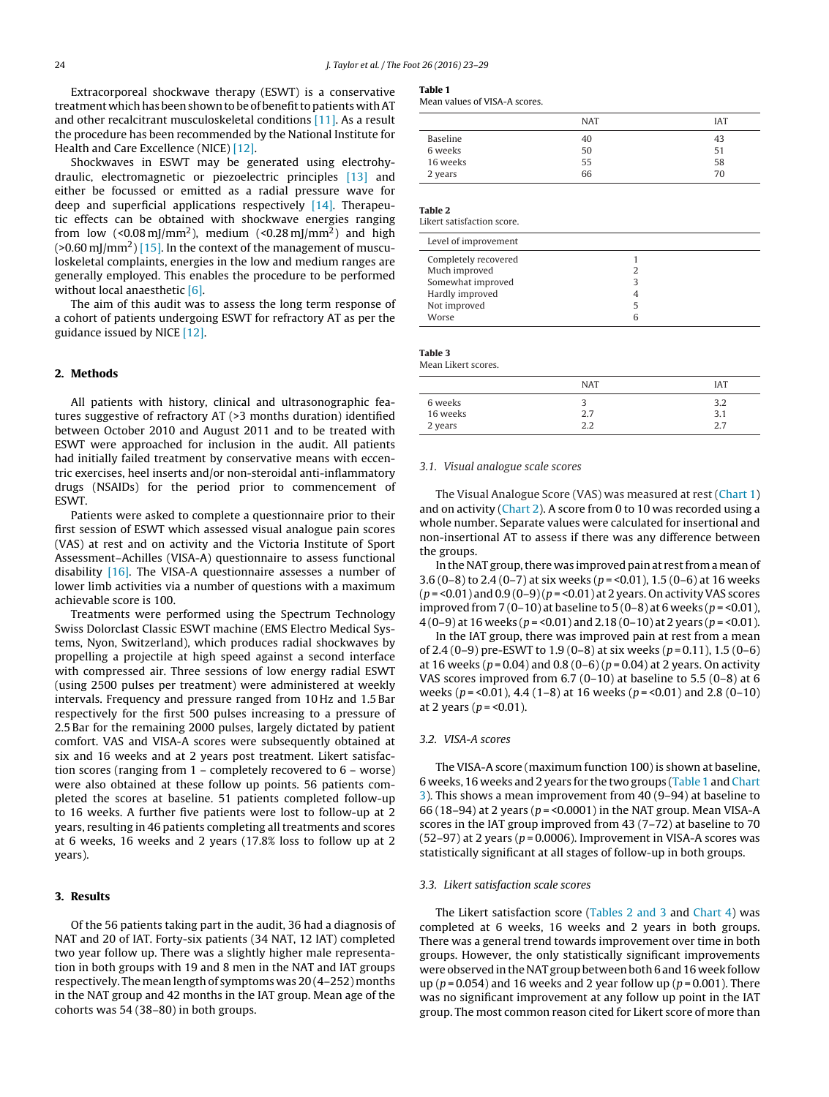Extracorporeal shockwave therapy (ESWT) is a conservative treatment which has been shown to be of benefit to patients with AT and other recalcitrant musculoskeletal conditions [\[11\].](#page-6-0) As a result the procedure has been recommended by the National Institute for Health and Care Excellence (NICE) [\[12\].](#page-6-0)

Shockwaves in ESWT may be generated using electrohydraulic, electromagnetic or piezoelectric principles [\[13\]](#page-6-0) and either be focussed or emitted as a radial pressure wave for deep and superficial applications respectively [\[14\].](#page-6-0) Therapeutic effects can be obtained with shockwave energies ranging from low (<0.08 $\text{mJ/mm}^2$ ), medium (<0.28 $\text{mJ/mm}^2$ ) and high (>0.60 mJ/mm<sup>2</sup>) [\[15\].](#page-6-0) In the context of the management of musculoskeletal complaints, energies in the low and medium ranges are generally employed. This enables the procedure to be performed without local anaesthetic [\[6\].](#page-6-0)

The aim of this audit was to assess the long term response of a cohort of patients undergoing ESWT for refractory AT as per the guidance issued by NICE [\[12\].](#page-6-0)

## 2. Methods

All patients with history, clinical and ultrasonographic features suggestive of refractory AT (>3 months duration) identified between October 2010 and August 2011 and to be treated with ESWT were approached for inclusion in the audit. All patients had initially failed treatment by conservative means with eccentric exercises, heel inserts and/or non-steroidal anti-inflammatory drugs (NSAIDs) for the period prior to commencement of ESWT.

Patients were asked to complete a questionnaire prior to their first session of ESWT which assessed visual analogue pain scores (VAS) at rest and on activity and the Victoria Institute of Sport Assessment–Achilles (VISA-A) questionnaire to assess functional disability [\[16\].](#page-6-0) The VISA-A questionnaire assesses a number of lower limb activities via a number of questions with a maximum achievable score is 100.

Treatments were performed using the Spectrum Technology Swiss Dolorclast Classic ESWT machine (EMS Electro Medical Systems, Nyon, Switzerland), which produces radial shockwaves by propelling a projectile at high speed against a second interface with compressed air. Three sessions of low energy radial ESWT (using 2500 pulses per treatment) were administered at weekly intervals. Frequency and pressure ranged from 10 Hz and 1.5 Bar respectively for the first 500 pulses increasing to a pressure of 2.5 Bar for the remaining 2000 pulses, largely dictated by patient comfort. VAS and VISA-A scores were subsequently obtained at six and 16 weeks and at 2 years post treatment. Likert satisfaction scores (ranging from 1 – completely recovered to 6 – worse) were also obtained at these follow up points. 56 patients completed the scores at baseline. 51 patients completed follow-up to 16 weeks. A further five patients were lost to follow-up at 2 years, resulting in 46 patients completing all treatments and scores at 6 weeks, 16 weeks and 2 years (17.8% loss to follow up at 2 years).

## 3. Results

Of the 56 patients taking part in the audit, 36 had a diagnosis of NAT and 20 of IAT. Forty-six patients (34 NAT, 12 IAT) completed two year follow up. There was a slightly higher male representation in both groups with 19 and 8 men in the NAT and IAT groups respectively. The mean length of symptoms was 20 (4–252) months in the NAT group and 42 months in the IAT group. Mean age of the cohorts was 54 (38–80) in both groups.

# Table 1

Mean values of VISA-A scores.

|          | <b>NAT</b> | <b>IAT</b> |
|----------|------------|------------|
| Baseline | 40         | 43         |
| 6 weeks  | 50         | 51         |
| 16 weeks | 55         | 58         |
| 2 years  | 66         | 70         |

Table 2

Likert satisfaction score.

| Level of improvement |   |  |
|----------------------|---|--|
| Completely recovered |   |  |
| Much improved        |   |  |
| Somewhat improved    |   |  |
| Hardly improved      |   |  |
| Not improved         | 5 |  |
| Worse                |   |  |

Table 3 Mean Likert scores.

|          | <b>NAT</b> | <b>IAT</b> |
|----------|------------|------------|
| 6 weeks  |            | 3.2        |
| 16 weeks | 2.7        | 3.1        |
| 2 years  | วว         | 2.7        |

### *3.1. Visual analogue scale scores*

The Visual Analogue Score (VAS) was measured at rest ([Chart](#page-2-0) [1\)](#page-2-0) and on activity [\(Chart](#page-2-0) [2\).](#page-2-0) A score from 0 to 10 was recorded using a whole number. Separate values were calculated for insertional and non-insertional AT to assess if there was any difference between the groups.

In the NAT group, there was improved pain at rest from a mean of 3.6 (0–8) to 2.4 (0–7) at six weeks (*p* = <0.01), 1.5 (0–6) at 16 weeks (*p* = <0.01) and 0.9 (0–9)(*p* = <0.01) at 2 years. On activityVAS scores improved from 7 (0–10) at baseline to 5 (0–8) at 6 weeks (*p* = <0.01), 4 (0–9) at 16 weeks (*p* = <0.01) and 2.18 (0–10) at 2 years (*p* = <0.01).

In the IAT group, there was improved pain at rest from a mean of 2.4 (0–9) pre-ESWT to 1.9 (0–8) at six weeks (*p* = 0.11), 1.5 (0–6) at 16 weeks (*p* = 0.04) and 0.8 (0–6) (*p* = 0.04) at 2 years. On activity VAS scores improved from 6.7 (0–10) at baseline to 5.5 (0–8) at 6 weeks (*p* = <0.01), 4.4 (1–8) at 16 weeks (*p* = <0.01) and 2.8 (0–10) at 2 years ( $p = 0.01$ ).

### *3.2. VISA-A scores*

The VISA-A score (maximum function 100) is shown at baseline, 6 weeks, 16 weeks and 2 years for the two groups (Table 1 and [Chart](#page-3-0) [3\).](#page-3-0) This shows a mean improvement from 40 (9–94) at baseline to 66 (18–94) at 2 years (*p* = <0.0001) in the NAT group. Mean VISA-A scores in the IAT group improved from 43 (7–72) at baseline to 70 (52–97) at 2 years (*p* = 0.0006). Improvement in VISA-A scores was statistically significant at all stages of follow-up in both groups.

#### *3.3. Likert satisfaction scale scores*

The Likert satisfaction score (Tables 2 and 3 and [Chart](#page-3-0) [4\)](#page-3-0) was completed at 6 weeks, 16 weeks and 2 years in both groups. There was a general trend towards improvement over time in both groups. However, the only statistically significant improvements were observed in the NAT group between both 6 and 16 week follow up (*p* = 0.054) and 16 weeks and 2 year follow up (*p* = 0.001). There was no significant improvement at any follow up point in the IAT group. The most common reason cited for Likert score of more than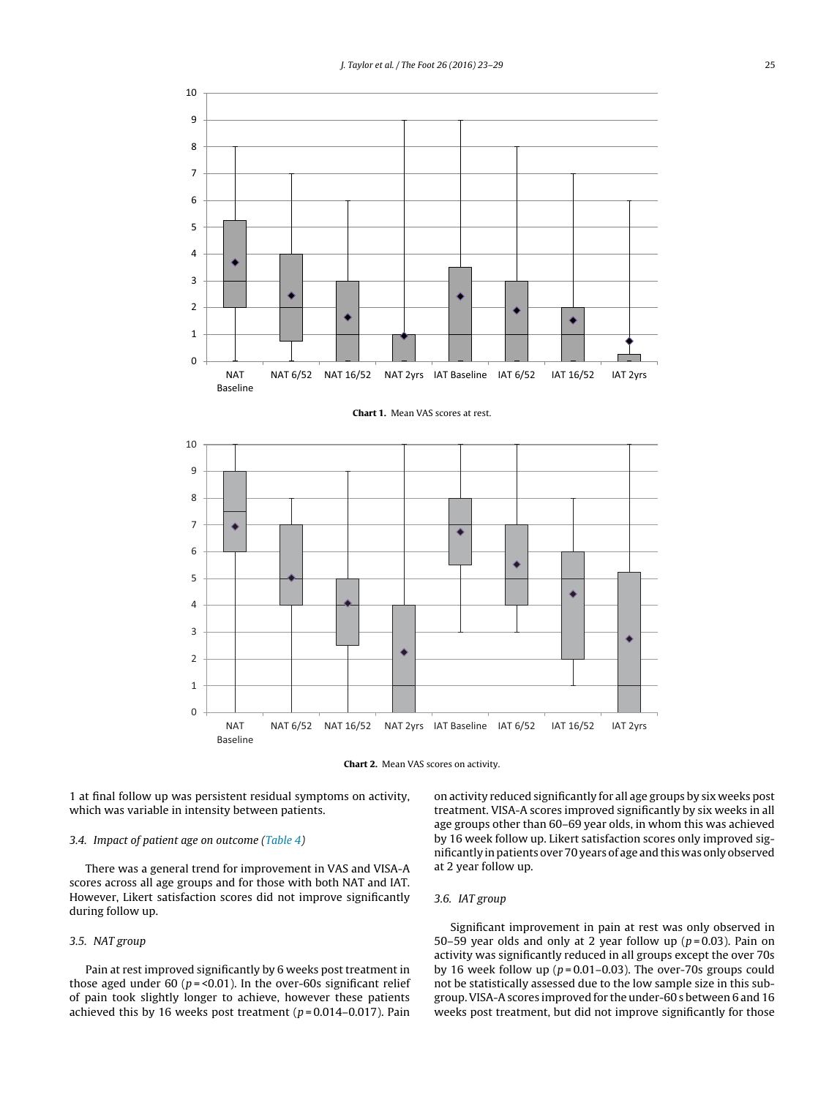<span id="page-2-0"></span>



1 at final follow up was persistent residual symptoms on activity, which was variable in intensity between patients.

# *3.4. Impact of patient age on outcome ([Table](#page-4-0) 4)*

There was a general trend for improvement in VAS and VISA-A scores across all age groups and for those with both NAT and IAT. However, Likert satisfaction scores did not improve significantly during follow up.

# *3.5. NAT group*

Pain at rest improved significantly by 6 weeks post treatment in those aged under 60 ( $p = < 0.01$ ). In the over-60s significant relief of pain took slightly longer to achieve, however these patients achieved this by 16 weeks post treatment (*p* = 0.014–0.017). Pain on activity reduced significantly for all age groups by six weeks post treatment. VISA-A scores improved significantly by six weeks in all age groups other than 60–69 year olds, in whom this was achieved by 16 week follow up. Likert satisfaction scores only improved significantly in patients over 70 years of age and this was only observed at 2 year follow up.

# *3.6. IAT group*

Significant improvement in pain at rest was only observed in 50–59 year olds and only at 2 year follow up  $(p=0.03)$ . Pain on activity was significantly reduced in all groups except the over 70s by 16 week follow up (*p* = 0.01–0.03). The over-70s groups could not be statistically assessed due to the low sample size in this subgroup.VISA-A scores improved for the under-60 s between 6 and 16 weeks post treatment, but did not improve significantly for those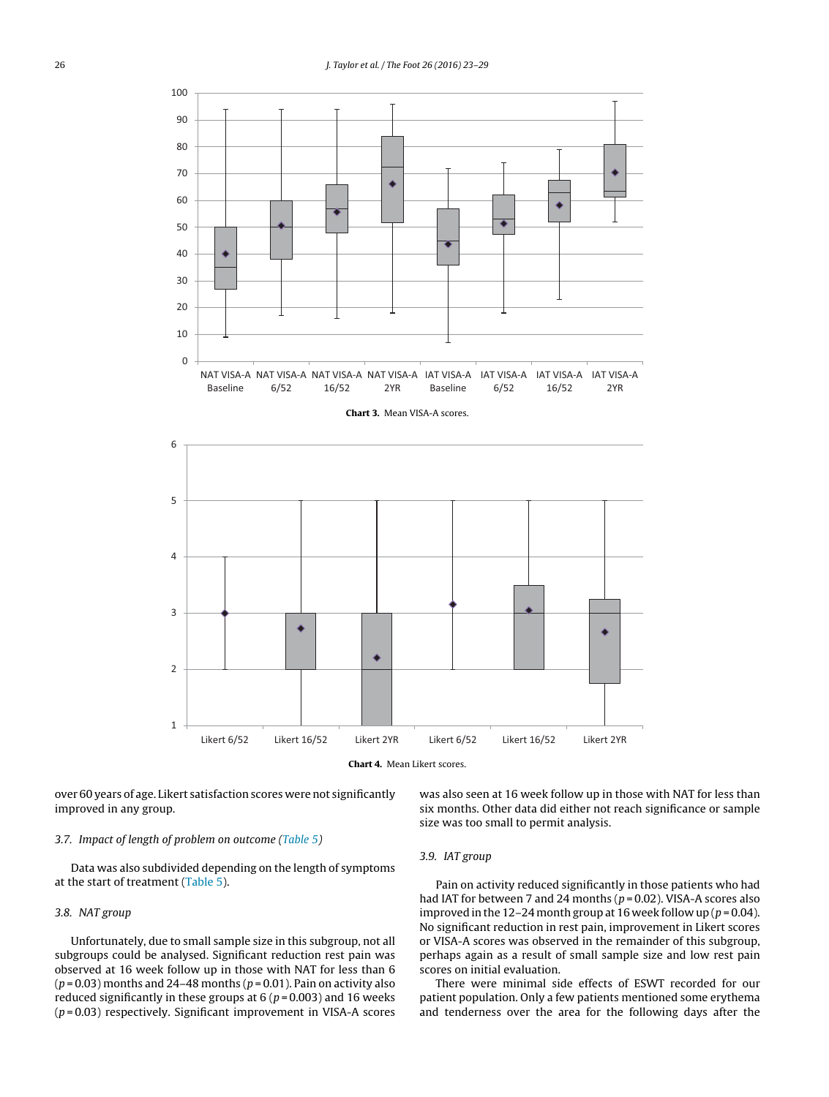<span id="page-3-0"></span>

over 60 years of age. Likert satisfaction scores were not significantly improved in any group.

### *3.7. Impact of length of problem on outcome [\(Table](#page-4-0) 5)*

Data was also subdivided depending on the length of symptoms at the start of treatment ([Table](#page-4-0) 5).

## *3.8. NAT group*

Unfortunately, due to small sample size in this subgroup, not all subgroups could be analysed. Significant reduction rest pain was observed at 16 week follow up in those with NAT for less than 6 (*p* = 0.03) months and 24–48 months (*p* = 0.01). Pain on activity also reduced significantly in these groups at  $6 (p = 0.003)$  and 16 weeks (*p* = 0.03) respectively. Significant improvement in VISA-A scores

was also seen at 16 week follow up in those with NAT for less than six months. Other data did either not reach significance or sample size was too small to permit analysis.

# *3.9. IAT group*

Pain on activity reduced significantly in those patients who had had IAT for between 7 and 24 months (*p* = 0.02). VISA-A scores also improved in the 12–24 month group at 16 week follow up ( $p = 0.04$ ). No significant reduction in rest pain, improvement in Likert scores or VISA-A scores was observed in the remainder of this subgroup, perhaps again as a result of small sample size and low rest pain scores on initial evaluation.

There were minimal side effects of ESWT recorded for our patient population. Only a few patients mentioned some erythema and tenderness over the area for the following days after the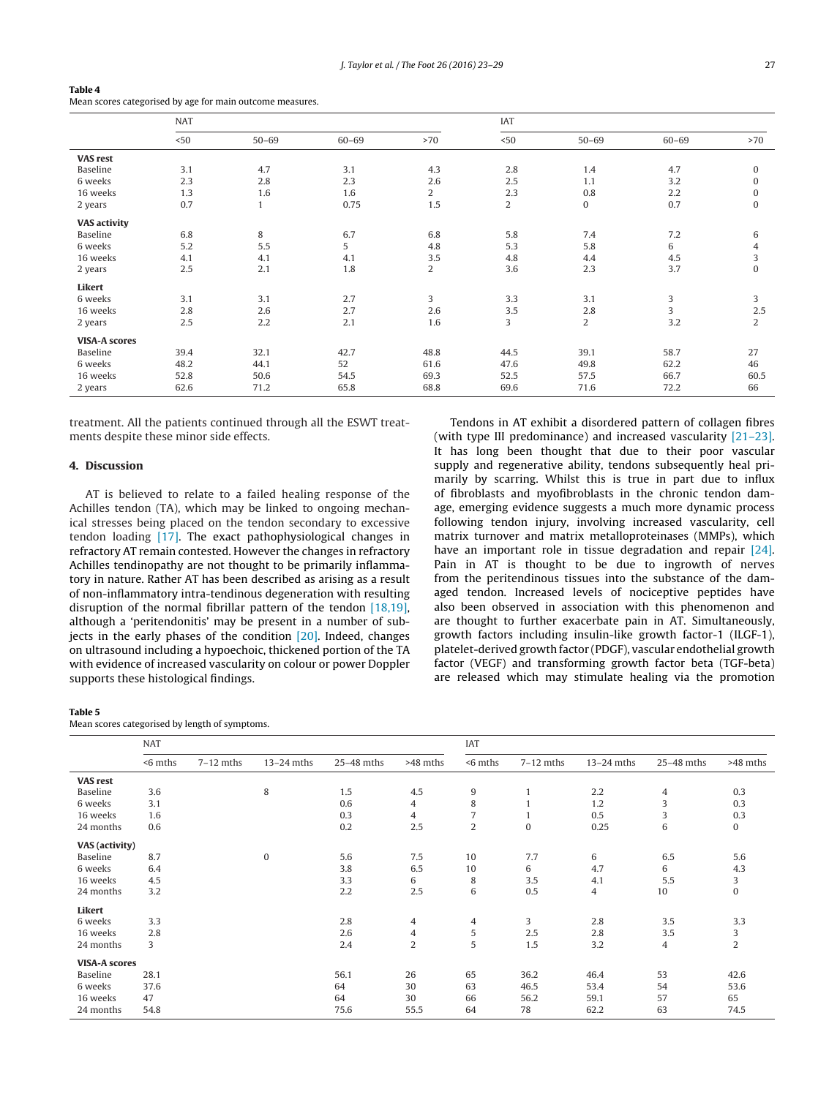|                      | <b>NAT</b> |           |           |                | IAT  |                |           |                |  |
|----------------------|------------|-----------|-----------|----------------|------|----------------|-----------|----------------|--|
|                      | < 50       | $50 - 69$ | $60 - 69$ | >70            | < 50 | $50 - 69$      | $60 - 69$ | >70            |  |
| <b>VAS rest</b>      |            |           |           |                |      |                |           |                |  |
| Baseline             | 3.1        | 4.7       | 3.1       | 4.3            | 2.8  | 1.4            | 4.7       | $\mathbf{0}$   |  |
| 6 weeks              | 2.3        | 2.8       | 2.3       | 2.6            | 2.5  | 1.1            | 3.2       | $\mathbf{0}$   |  |
| 16 weeks             | 1.3        | 1.6       | 1.6       | $\overline{c}$ | 2.3  | 0.8            | 2.2       | $\mathbf{0}$   |  |
| 2 years              | 0.7        |           | 0.75      | 1.5            | 2    | 0              | 0.7       | 0              |  |
| <b>VAS activity</b>  |            |           |           |                |      |                |           |                |  |
| Baseline             | 6.8        | 8         | 6.7       | 6.8            | 5.8  | 7.4            | 7.2       | 6              |  |
| 6 weeks              | 5.2        | 5.5       | 5         | 4.8            | 5.3  | 5.8            | 6         | 4              |  |
| 16 weeks             | 4.1        | 4.1       | 4.1       | 3.5            | 4.8  | 4.4            | 4.5       | 3              |  |
| 2 years              | 2.5        | 2.1       | 1.8       | $\overline{c}$ | 3.6  | 2.3            | 3.7       | $\mathbf{0}$   |  |
| Likert               |            |           |           |                |      |                |           |                |  |
| 6 weeks              | 3.1        | 3.1       | 2.7       | 3              | 3.3  | 3.1            | 3         | 3              |  |
| 16 weeks             | 2.8        | 2.6       | 2.7       | 2.6            | 3.5  | 2.8            | 3         | 2.5            |  |
| 2 years              | 2.5        | 2.2       | 2.1       | 1.6            | 3    | $\overline{2}$ | 3.2       | $\overline{2}$ |  |
| <b>VISA-A scores</b> |            |           |           |                |      |                |           |                |  |
| Baseline             | 39.4       | 32.1      | 42.7      | 48.8           | 44.5 | 39.1           | 58.7      | 27             |  |
| 6 weeks              | 48.2       | 44.1      | 52        | 61.6           | 47.6 | 49.8           | 62.2      | 46             |  |
| 16 weeks             | 52.8       | 50.6      | 54.5      | 69.3           | 52.5 | 57.5           | 66.7      | 60.5           |  |
| 2 years              | 62.6       | 71.2      | 65.8      | 68.8           | 69.6 | 71.6           | 72.2      | 66             |  |

<span id="page-4-0"></span>Table 4 Mean scores categorised by age for main outcome measures.

treatment. All the patients continued through all the ESWT treatments despite these minor side effects.

## 4. Discussion

AT is believed to relate to a failed healing response of the Achilles tendon (TA), which may be linked to ongoing mechanical stresses being placed on the tendon secondary to excessive tendon loading [\[17\].](#page-6-0) The exact pathophysiological changes in refractory AT remain contested. However the changes in refractory Achilles tendinopathy are not thought to be primarily inflammatory in nature. Rather AT has been described as arising as a result of non-inflammatory intra-tendinous degeneration with resulting disruption of the normal fibrillar pattern of the tendon [\[18,19\],](#page-6-0) although a 'peritendonitis' may be present in a number of sub-jects in the early phases of the condition [\[20\].](#page-6-0) Indeed, changes on ultrasound including a hypoechoic, thickened portion of the TA with evidence of increased vascularity on colour or power Doppler supports these histological findings.

Tendons in AT exhibit a disordered pattern of collagen fibres (with type III predominance) and increased vascularity [\[21–23\].](#page-6-0) It has long been thought that due to their poor vascular supply and regenerative ability, tendons subsequently heal primarily by scarring. Whilst this is true in part due to influx of fibroblasts and myofibroblasts in the chronic tendon damage, emerging evidence suggests a much more dynamic process following tendon injury, involving increased vascularity, cell matrix turnover and matrix metalloproteinases (MMPs), which have an important role in tissue degradation and repair [\[24\].](#page-6-0) Pain in AT is thought to be due to ingrowth of nerves from the peritendinous tissues into the substance of the damaged tendon. Increased levels of nociceptive peptides have also been observed in association with this phenomenon and are thought to further exacerbate pain in AT. Simultaneously, growth factors including insulin-like growth factor-1 (ILGF-1), platelet-derived growth factor (PDGF), vascular endothelial growth factor (VEGF) and transforming growth factor beta (TGF-beta) are released which may stimulate healing via the promotion

### Table 5

Mean scores categorised by length of symptoms.

|                       | <b>NAT</b> |             |              |              | <b>IAT</b> |            |              |                |              |                |
|-----------------------|------------|-------------|--------------|--------------|------------|------------|--------------|----------------|--------------|----------------|
|                       | $<$ 6 mths | $7-12$ mths | $13-24$ mths | $25-48$ mths | >48 mths   | $<$ 6 mths | $7-12$ mths  | $13-24$ mths   | $25-48$ mths | >48 mths       |
| <b>VAS rest</b>       |            |             |              |              |            |            |              |                |              |                |
| Baseline              | 3.6        |             | 8            | 1.5          | 4.5        | 9          |              | 2.2            | 4            | 0.3            |
| 6 weeks               | 3.1        |             |              | 0.6          | 4          | 8          | $\mathbf{1}$ | 1.2            | 3            | 0.3            |
| 16 weeks              | 1.6        |             |              | 0.3          | 4          | 7          |              | 0.5            | 3            | 0.3            |
| 24 months             | 0.6        |             |              | 0.2          | 2.5        | 2          | $\mathbf{0}$ | 0.25           | 6            | $\bf{0}$       |
| <b>VAS</b> (activity) |            |             |              |              |            |            |              |                |              |                |
| Baseline              | 8.7        |             | $\mathbf{0}$ | 5.6          | 7.5        | 10         | 7.7          | 6              | 6.5          | 5.6            |
| 6 weeks               | 6.4        |             |              | 3.8          | 6.5        | 10         | 6            | 4.7            | 6            | 4.3            |
| 16 weeks              | 4.5        |             |              | 3.3          | 6          | 8          | 3.5          | 4.1            | 5.5          | 3              |
| 24 months             | 3.2        |             |              | 2.2          | 2.5        | 6          | 0.5          | $\overline{4}$ | 10           | $\mathbf{0}$   |
| Likert                |            |             |              |              |            |            |              |                |              |                |
| 6 weeks               | 3.3        |             |              | 2.8          | 4          | 4          | 3            | 2.8            | 3.5          | 3.3            |
| 16 weeks              | 2.8        |             |              | 2.6          | 4          | 5          | 2.5          | 2.8            | 3.5          | 3              |
| 24 months             | 3          |             |              | 2.4          | 2          | 5          | 1.5          | 3.2            | 4            | $\overline{2}$ |
| <b>VISA-A scores</b>  |            |             |              |              |            |            |              |                |              |                |
| Baseline              | 28.1       |             |              | 56.1         | 26         | 65         | 36.2         | 46.4           | 53           | 42.6           |
| 6 weeks               | 37.6       |             |              | 64           | 30         | 63         | 46.5         | 53.4           | 54           | 53.6           |
| 16 weeks              | 47         |             |              | 64           | 30         | 66         | 56.2         | 59.1           | 57           | 65             |
| 24 months             | 54.8       |             |              | 75.6         | 55.5       | 64         | 78           | 62.2           | 63           | 74.5           |
|                       |            |             |              |              |            |            |              |                |              |                |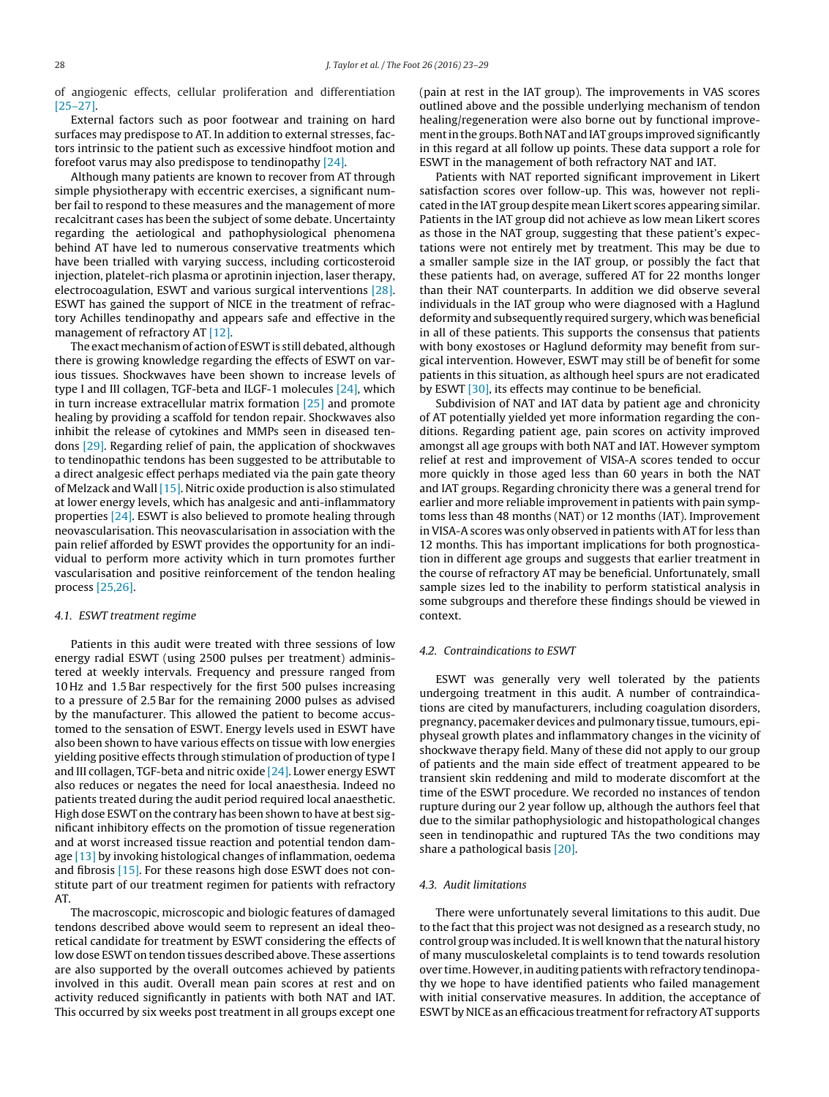of angiogenic effects, cellular proliferation and differentiation [\[25–27\].](#page-6-0)

External factors such as poor footwear and training on hard surfaces may predispose to AT. In addition to external stresses, factors intrinsic to the patient such as excessive hindfoot motion and forefoot varus may also predispose to tendinopathy [\[24\].](#page-6-0)

Although many patients are known to recover from AT through simple physiotherapy with eccentric exercises, a significant number fail to respond to these measures and the management of more recalcitrant cases has been the subject of some debate. Uncertainty regarding the aetiological and pathophysiological phenomena behind AT have led to numerous conservative treatments which have been trialled with varying success, including corticosteroid injection, platelet-rich plasma or aprotinin injection, laser therapy, electrocoagulation, ESWT and various surgical interventions [\[28\].](#page-6-0) ESWT has gained the support of NICE in the treatment of refractory Achilles tendinopathy and appears safe and effective in the management of refractory AT [\[12\].](#page-6-0)

The exact mechanism of action of ESWT is still debated, although there is growing knowledge regarding the effects of ESWT on various tissues. Shockwaves have been shown to increase levels of type I and III collagen, TGF-beta and ILGF-1 molecules [\[24\],](#page-6-0) which in turn increase extracellular matrix formation [\[25\]](#page-6-0) and promote healing by providing a scaffold for tendon repair. Shockwaves also inhibit the release of cytokines and MMPs seen in diseased tendons [\[29\].](#page-6-0) Regarding relief of pain, the application of shockwaves to tendinopathic tendons has been suggested to be attributable to a direct analgesic effect perhaps mediated via the pain gate theory of Melzack and Wall [\[15\].](#page-6-0) Nitric oxide production is also stimulated at lower energy levels, which has analgesic and anti-inflammatory properties [\[24\].](#page-6-0) ESWT is also believed to promote healing through neovascularisation. This neovascularisation in association with the pain relief afforded by ESWT provides the opportunity for an individual to perform more activity which in turn promotes further vascularisation and positive reinforcement of the tendon healing process [\[25,26\].](#page-6-0)

#### *4.1. ESWT treatment regime*

Patients in this audit were treated with three sessions of low energy radial ESWT (using 2500 pulses per treatment) administered at weekly intervals. Frequency and pressure ranged from 10 Hz and 1.5 Bar respectively for the first 500 pulses increasing to a pressure of 2.5 Bar for the remaining 2000 pulses as advised by the manufacturer. This allowed the patient to become accustomed to the sensation of ESWT. Energy levels used in ESWT have also been shown to have various effects on tissue with low energies yielding positive effects through stimulation of production of type I and III collagen, TGF-beta and nitric oxide [\[24\].](#page-6-0) Lower energy ESWT also reduces or negates the need for local anaesthesia. Indeed no patients treated during the audit period required local anaesthetic. High dose ESWT on the contrary has been shown to have at best significant inhibitory effects on the promotion of tissue regeneration and at worst increased tissue reaction and potential tendon damage [\[13\]](#page-6-0) by invoking histological changes of inflammation, oedema and fibrosis [\[15\].](#page-6-0) For these reasons high dose ESWT does not constitute part of our treatment regimen for patients with refractory AT.

The macroscopic, microscopic and biologic features of damaged tendons described above would seem to represent an ideal theoretical candidate for treatment by ESWT considering the effects of low dose ESWT on tendon tissues described above. These assertions are also supported by the overall outcomes achieved by patients involved in this audit. Overall mean pain scores at rest and on activity reduced significantly in patients with both NAT and IAT. This occurred by six weeks post treatment in all groups except one

(pain at rest in the IAT group). The improvements in VAS scores outlined above and the possible underlying mechanism of tendon healing/regeneration were also borne out by functional improvement in the groups. Both NAT and IAT groups improved significantly in this regard at all follow up points. These data support a role for ESWT in the management of both refractory NAT and IAT.

Patients with NAT reported significant improvement in Likert satisfaction scores over follow-up. This was, however not replicated in the IAT group despite mean Likert scores appearing similar. Patients in the IAT group did not achieve as low mean Likert scores as those in the NAT group, suggesting that these patient's expectations were not entirely met by treatment. This may be due to a smaller sample size in the IAT group, or possibly the fact that these patients had, on average, suffered AT for 22 months longer than their NAT counterparts. In addition we did observe several individuals in the IAT group who were diagnosed with a Haglund deformity and subsequently required surgery, which was beneficial in all of these patients. This supports the consensus that patients with bony exostoses or Haglund deformity may benefit from surgical intervention. However, ESWT may still be of benefit for some patients in this situation, as although heel spurs are not eradicated by ESWT [\[30\],](#page-6-0) its effects may continue to be beneficial.

Subdivision of NAT and IAT data by patient age and chronicity of AT potentially yielded yet more information regarding the conditions. Regarding patient age, pain scores on activity improved amongst all age groups with both NAT and IAT. However symptom relief at rest and improvement of VISA-A scores tended to occur more quickly in those aged less than 60 years in both the NAT and IAT groups. Regarding chronicity there was a general trend for earlier and more reliable improvement in patients with pain symptoms less than 48 months (NAT) or 12 months (IAT). Improvement in VISA-A scores was only observed in patients with AT for less than 12 months. This has important implications for both prognostication in different age groups and suggests that earlier treatment in the course of refractory AT may be beneficial. Unfortunately, small sample sizes led to the inability to perform statistical analysis in some subgroups and therefore these findings should be viewed in context.

## *4.2. Contraindications to ESWT*

ESWT was generally very well tolerated by the patients undergoing treatment in this audit. A number of contraindications are cited by manufacturers, including coagulation disorders, pregnancy, pacemaker devices and pulmonary tissue, tumours, epiphyseal growth plates and inflammatory changes in the vicinity of shockwave therapy field. Many of these did not apply to our group of patients and the main side effect of treatment appeared to be transient skin reddening and mild to moderate discomfort at the time of the ESWT procedure. We recorded no instances of tendon rupture during our 2 year follow up, although the authors feel that due to the similar pathophysiologic and histopathological changes seen in tendinopathic and ruptured TAs the two conditions may share a pathological basis [\[20\].](#page-6-0)

## *4.3. Audit limitations*

There were unfortunately several limitations to this audit. Due to the fact that this project was not designed as a research study, no control group was included. It is well known that the natural history of many musculoskeletal complaints is to tend towards resolution over time. However, in auditing patients with refractory tendinopathy we hope to have identified patients who failed management with initial conservative measures. In addition, the acceptance of ESWT by NICE as an efficacious treatment for refractory AT supports